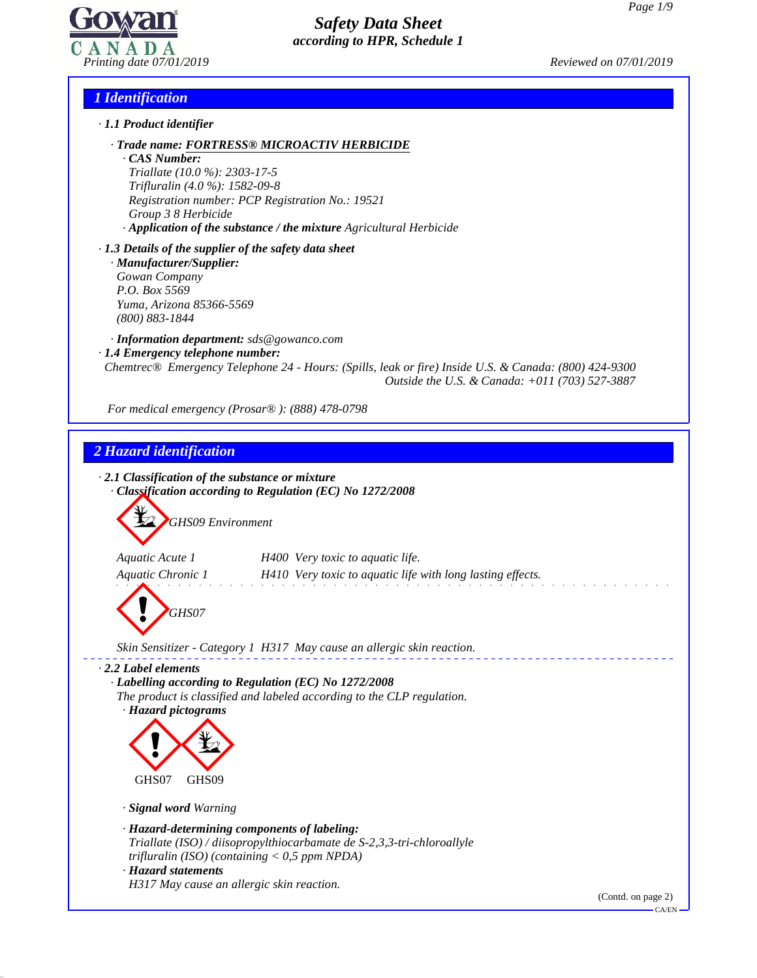

## *1 Identification*

- *· 1.1 Product identifier*
	- *· Trade name: FORTRESS® MICROACTIV HERBICIDE*

*· CAS Number: Triallate (10.0 %): 2303-17-5 Trifluralin (4.0 %): 1582-09-8 Registration number: PCP Registration No.: 19521 Group 3 8 Herbicide · Application of the substance / the mixture Agricultural Herbicide*

*· 1.3 Details of the supplier of the safety data sheet · Manufacturer/Supplier: Gowan Company P.O. Box 5569 Yuma, Arizona 85366-5569 (800) 883-1844*

*· Information department: sds@gowanco.com · 1.4 Emergency telephone number: Chemtrec® Emergency Telephone 24 - Hours: (Spills, leak or fire) Inside U.S. & Canada: (800) 424-9300 Outside the U.S. & Canada: +011 (703) 527-3887*

*For medical emergency (Prosar® ): (888) 478-0798*

# *2 Hazard identification*

49.2.0.1

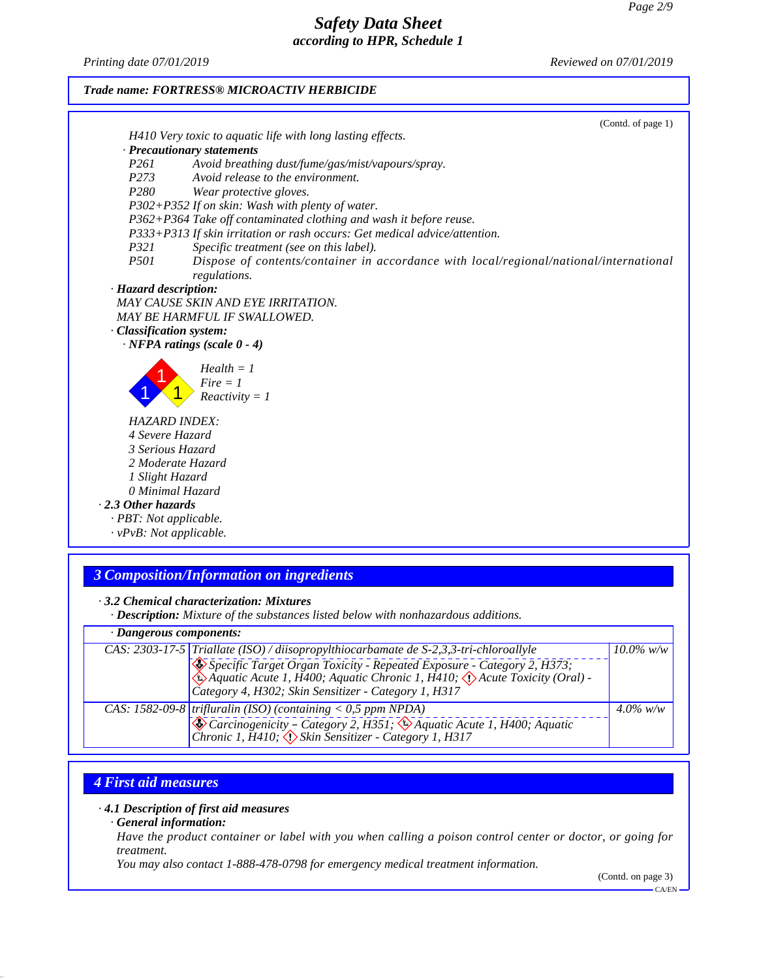*Printing date 07/01/2019 Reviewed on 07/01/2019*



## *3 Composition/Information on ingredients*

*· 3.2 Chemical characterization: Mixtures*

*· Description: Mixture of the substances listed below with nonhazardous additions.*

| · Dangerous components: |                                                                                                                                                                                                                         |             |  |
|-------------------------|-------------------------------------------------------------------------------------------------------------------------------------------------------------------------------------------------------------------------|-------------|--|
|                         | CAS: 2303-17-5 Triallate (ISO) / diisopropylthiocarbamate de S-2,3,3-tri-chloroallyle<br>Specific Target Organ Toxicity - Repeated Exposure - Category 2, H373;<br>Category 4, H302; Skin Sensitizer - Category 1, H317 | 10.0% w/w   |  |
|                         | CAS: 1582-09-8 trifluralin (ISO) (containing $<$ 0,5 ppm NPDA)<br>Carcinogenicity – Category 2, H351; & Aquatic Acute 1, H400; Aquatic Chronic 1, H410; $\Diamond$ Skin Sensitizer - Category 1, H317                   | $4.0\%$ w/w |  |

## *4 First aid measures*

49.2.0.1

### *· 4.1 Description of first aid measures*

*· General information:*

Have the product container or label with you when calling a poison control center or doctor, or going for *treatment.*

*You may also contact 1-888-478-0798 for emergency medical treatment information.*

(Contd. on page 3) CA/EN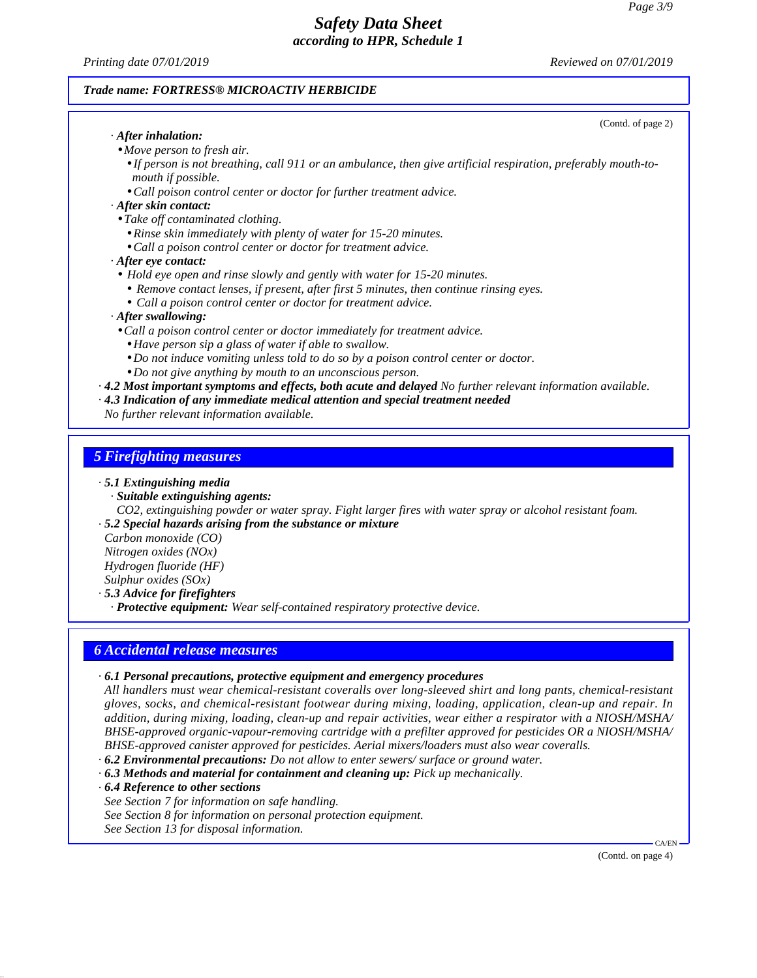*Printing date 07/01/2019 Reviewed on 07/01/2019*

## *Trade name: FORTRESS® MICROACTIV HERBICIDE*

| (Contd. of page 2)                                                                                                                   |
|--------------------------------------------------------------------------------------------------------------------------------------|
| $\cdot$ After inhalation:                                                                                                            |
| • Move person to fresh air.                                                                                                          |
| • If person is not breathing, call 911 or an ambulance, then give artificial respiration, preferably mouth-to-<br>mouth if possible. |
| • Call poison control center or doctor for further treatment advice.                                                                 |
| · After skin contact:                                                                                                                |
| • Take off contaminated clothing.                                                                                                    |
| • Rinse skin immediately with plenty of water for 15-20 minutes.                                                                     |
| • Call a poison control center or doctor for treatment advice.                                                                       |
| $\cdot$ After eye contact:                                                                                                           |
| • Hold eye open and rinse slowly and gently with water for 15-20 minutes.                                                            |
| • Remove contact lenses, if present, after first 5 minutes, then continue rinsing eyes.                                              |
| • Call a poison control center or doctor for treatment advice.                                                                       |
| · After swallowing:                                                                                                                  |
| • Call a poison control center or doctor immediately for treatment advice.                                                           |
| • Have person sip a glass of water if able to swallow.                                                                               |
| • Do not induce vomiting unless told to do so by a poison control center or doctor.                                                  |
| • Do not give anything by mouth to an unconscious person.                                                                            |
| $\cdot$ 4.2 Most important symptoms and effects, both acute and delayed No further relevant information available.                   |
| · 4.3 Indication of any immediate medical attention and special treatment needed                                                     |
| No further relevant information available.                                                                                           |
|                                                                                                                                      |
| <b>5 Firefighting measures</b>                                                                                                       |
| $\cdot$ 5.1 Extinguishing media                                                                                                      |

- *· Suitable extinguishing agents:*
- *CO2, extinguishing powder or water spray. Fight larger fires with water spray or alcohol resistant foam.*

*· 5.2 Special hazards arising from the substance or mixture*

*Carbon monoxide (CO) Nitrogen oxides (NOx) Hydrogen fluoride (HF) Sulphur oxides (SOx)*

*· 5.3 Advice for firefighters*

*· Protective equipment: Wear self-contained respiratory protective device.*

### *6 Accidental release measures*

### *· 6.1 Personal precautions, protective equipment and emergency procedures*

*All handlers must wear chemical-resistant coveralls over long-sleeved shirt and long pants, chemical-resistant gloves, socks, and chemical-resistant footwear during mixing, loading, application, clean-up and repair. In addition, during mixing, loading, clean-up and repair activities, wear either a respirator with a NIOSH/MSHA/ BHSE-approved organic-vapour-removing cartridge with a prefilter approved for pesticides OR aNIOSH/MSHA/ BHSE-approved canister approved for pesticides. Aerial mixers/loaders must also wear coveralls.*

*· 6.2 Environmental precautions: Do not allow to enter sewers/ surface or ground water. · 6.3 Methods and material for containment and cleaning up: Pick up mechanically.*

*· 6.4 Reference to other sections*

49.2.0.1

*See Section 7 for information on safe handling.*

*See Section 8 for information on personal protection equipment.*

*See Section 13 for disposal information.*

(Contd. on page 4)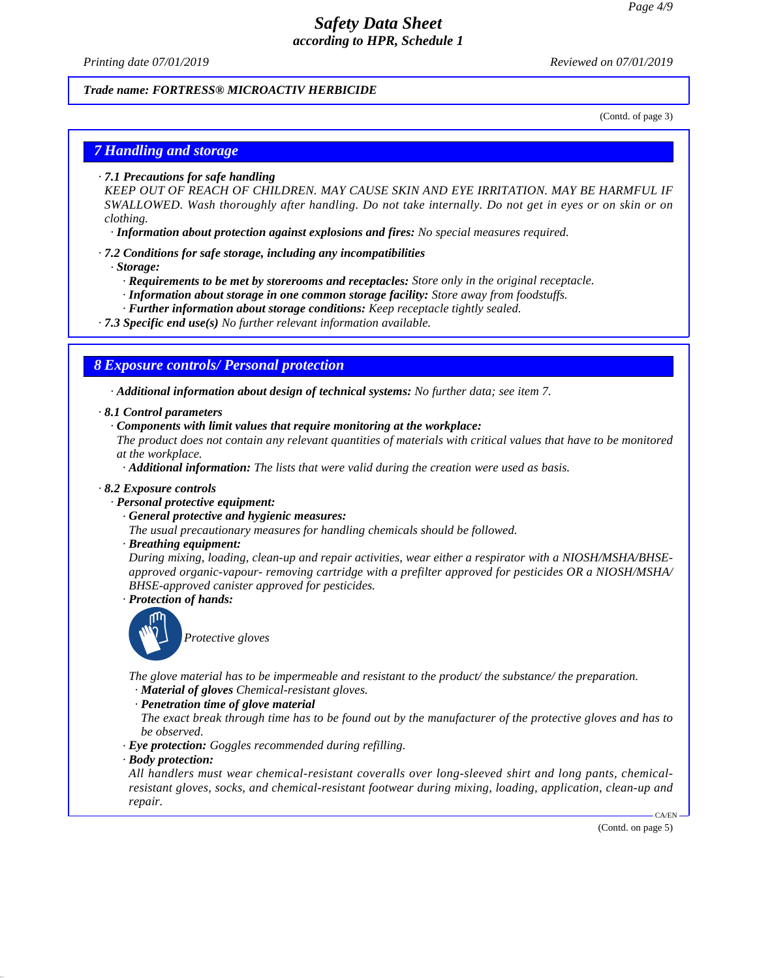*Printing date 07/01/2019 Reviewed on 07/01/2019*

### *Trade name: FORTRESS® MICROACTIV HERBICIDE*

(Contd. of page 3)

## *7 Handling and storage*

*· 7.1 Precautions for safe handling*

*KEEP OUT OF REACH OF CHILDREN. MAY CAUSE SKIN AND EYE IRRITATION. MAY BE HARMFUL IF SWALLOWED. Wash thoroughly after handling. Do nottake internally. Do notget in eyes or on skin or on clothing.*

*· Information about protection against explosions and fires: No special measures required.*

- *· 7.2 Conditions for safe storage, including any incompatibilities*
	- *· Storage:*
		- *· Requirements to be met by storerooms and receptacles: Store only in the original receptacle.*
		- *· Information about storage in one common storage facility: Store away from foodstuf s.*
		- *· Further information about storage conditions: Keep receptacle tightly sealed.*
- *· 7.3 Specific end use(s) No further relevant information available.*

### *8 Exposure controls/ Personal protection*

*· Additional information about design of technical systems: No further data; see item 7.*

- *· 8.1 Control parameters*
	- *· Components with limit values that require monitoring at the workplace:*

The product does not contain any relevant quantities of materials with critical values that have to be monitored *at the workplace.*

*· Additional information: The lists that were valid during the creation were used as basis.*

#### *· 8.2 Exposure controls*

- *· Personal protective equipment:*
	- *· General protective and hygienic measures:*
	- *The usual precautionary measures for handling chemicals should be followed.*

### *· Breathing equipment:*

*During mixing, loading, clean-up and repair activities, wear either a respirator with a NIOSH/MSHA/BHSE approved organic-vapour- removing cartridge with a prefilter approved for pesticides OR aNIOSH/MSHA/ BHSE-approved canister approved for pesticides.*

*· Protection of hands:*



*Protective gloves*

*The glove material has to be impermeable and resistant to the product/ the substance/ the preparation. · Material of gloves Chemical-resistant gloves.*

- 
- *· Penetration time of glove material*

The exact break through time has to be found out by the manufacturer of the protective gloves and has to *be observed.*

- *· Eye protection: Goggles recommended during refilling.*
- *· Body protection:*

49.2.0.1

*All handlers must wear chemical-resistant coveralls over long-sleeved shirt and long pants, chemical resistant gloves, socks, and chemical-resistant footwear during mixing, loading, application, clean-up and repair.*

(Contd. on page 5)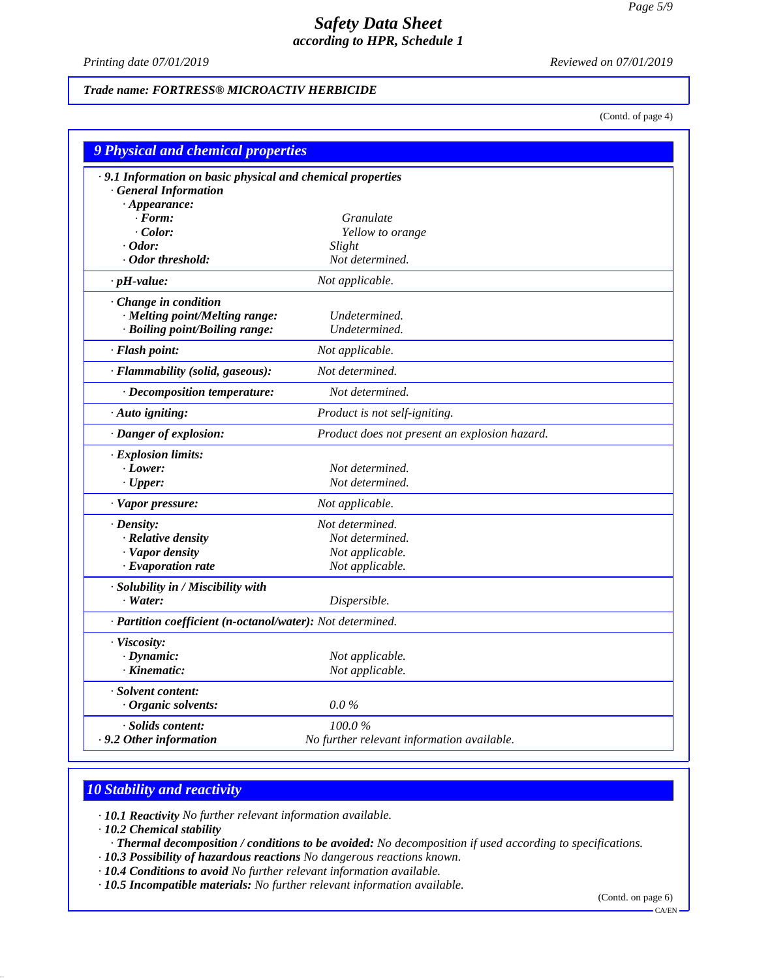*Printing date 07/01/2019 Reviewed on 07/01/2019*

## *Trade name: FORTRESS® MICROACTIV HERBICIDE*

(Contd. of page 4)

| 9 Physical and chemical properties                         |                                               |  |
|------------------------------------------------------------|-----------------------------------------------|--|
| .9.1 Information on basic physical and chemical properties |                                               |  |
| <b>General Information</b>                                 |                                               |  |
| $\cdot$ Appearance:                                        |                                               |  |
| $\cdot$ Form:                                              | <i>Granulate</i>                              |  |
| $\cdot$ Color:                                             | Yellow to orange                              |  |
| $\cdot$ Odor:                                              | Slight                                        |  |
| · Odor threshold:                                          | Not determined.                               |  |
| $\cdot$ pH-value:                                          | Not applicable.                               |  |
| Change in condition                                        |                                               |  |
| · Melting point/Melting range:                             | Undetermined.                                 |  |
| · Boiling point/Boiling range:                             | Undetermined.                                 |  |
| · Flash point:                                             | Not applicable.                               |  |
| · Flammability (solid, gaseous):                           | Not determined.                               |  |
| · Decomposition temperature:                               | Not determined.                               |  |
| $\cdot$ Auto igniting:                                     | Product is not self-igniting.                 |  |
| · Danger of explosion:                                     | Product does not present an explosion hazard. |  |
| · Explosion limits:                                        |                                               |  |
| $\cdot$ Lower:                                             | Not determined.                               |  |
| $\cdot$ Upper:                                             | Not determined.                               |  |
| · Vapor pressure:                                          | Not applicable.                               |  |
| $\cdot$ Density:                                           | Not determined.                               |  |
| · Relative density                                         | Not determined.                               |  |
| · Vapor density                                            | Not applicable.                               |  |
| · Evaporation rate                                         | Not applicable.                               |  |
| · Solubility in / Miscibility with                         |                                               |  |
| $\cdot$ Water:                                             | Dispersible.                                  |  |
| · Partition coefficient (n-octanol/water): Not determined. |                                               |  |
| · Viscosity:                                               |                                               |  |
| $\cdot$ Dynamic:                                           | Not applicable.                               |  |
| · Kinematic:                                               | Not applicable.                               |  |
| · Solvent content:                                         |                                               |  |
| $\cdot$ Organic solvents:                                  | $0.0\%$                                       |  |
| · Solids content:                                          | 100.0%                                        |  |
| .9.2 Other information                                     | No further relevant information available.    |  |

## *10 Stability and reactivity*

*· 10.1 Reactivity No further relevant information available.*

*· 10.2 Chemical stability*

49.2.0.1

- *· Thermal decomposition / conditions to be avoided: No decomposition if used according to specifications.*
- *· 10.3 Possibility of hazardous reactions No dangerous reactions known.*
- *· 10.4 Conditions to avoid No further relevant information available.*

*· 10.5 Incompatible materials: No further relevant information available.*

(Contd. on page 6)

CA/EN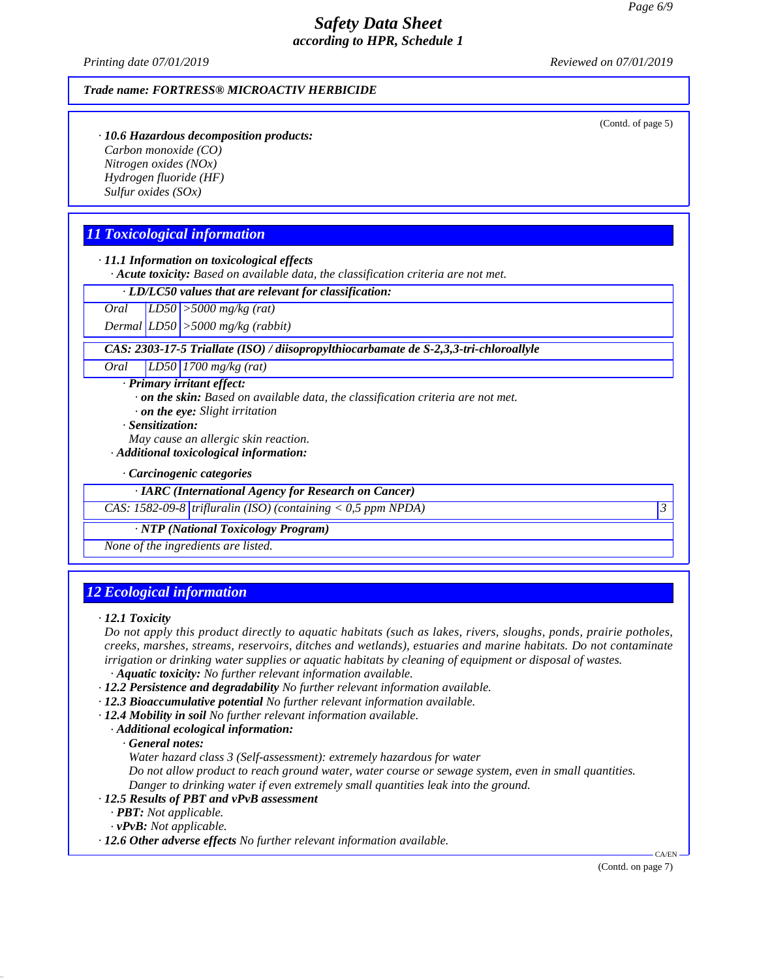*Printing date 07/01/2019 Reviewed on 07/01/2019*

### *Trade name: FORTRESS® MICROACTIV HERBICIDE*

(Contd. of page 5)

*· 10.6 Hazardous decomposition products: Carbon monoxide (CO) Nitrogen oxides (NOx) Hydrogen fluoride (HF) Sulfur oxides (SOx)*

## *11 Toxicological information*

*· 11.1 Information on toxicological effects · Acute toxicity: Based on available data, the classification criteria are not met.*

*· LD/LC50 values that are relevant for classification:*

*Oral LD50 >5000 mg/kg (rat)*

*Dermal LD50 >5000 mg/kg (rabbit)*

*CAS: 2303-17-5 Triallate (ISO) / diisopropylthiocarbamate de S-2,3,3-tri-chloroallyle*

*Oral LD50 1700 mg/kg (rat)*

*· Primary irritant effect:*

- *· on the skin: Based on available data, the classification criteria are not met.*
- *· on the eye: Slight irritation*

*· Sensitization:*

- *May cause an allergic skin reaction.*
- *· Additional toxicological information:*

*· Carcinogenic categories*

*· IARC (International Agency for Research on Cancer)*

*CAS: 1582-09-8 trifluralin (ISO) (containing < 0,5 ppm NPDA) 3*

*· NTP (National Toxicology Program)*

*None of the ingredients are listed.*

## *12 Ecological information*

Do not apply this product directly to aquatic habitats (such as lakes, rivers, sloughs, ponds, prairie potholes, *creeks, marshes, streams, reservoirs, ditches and wetlands), estuaries and marine habitats. Do notcontaminate irrigation or drinking water supplies or aquatic habitats by cleaning of equipment or disposal of wastes. · Aquatic toxicity: No further relevant information available.*

- *· 12.2 Persistence and degradability No further relevant information available.*
- *· 12.3 Bioaccumulative potential No further relevant information available.*
- *· 12.4 Mobility in soil No further relevant information available.*
	- *· Additional ecological information:*

*· General notes:*

*Water hazard class 3 (Self-assessment): extremely hazardous for water*

*Do not allow product to reach ground water, water course or sewage system, even in small quantities. Danger to drinking water ifeven extremely small quantities leak into the ground.*

- *· 12.5 Results of PBT and vPvB assessment*
	- *· PBT: Not applicable.*
	- *· vPvB: Not applicable.*

49.2.0.1

*· 12.6 Other adverse effects No further relevant information available.*

(Contd. on page 7)

*<sup>·</sup> 12.1 Toxicity*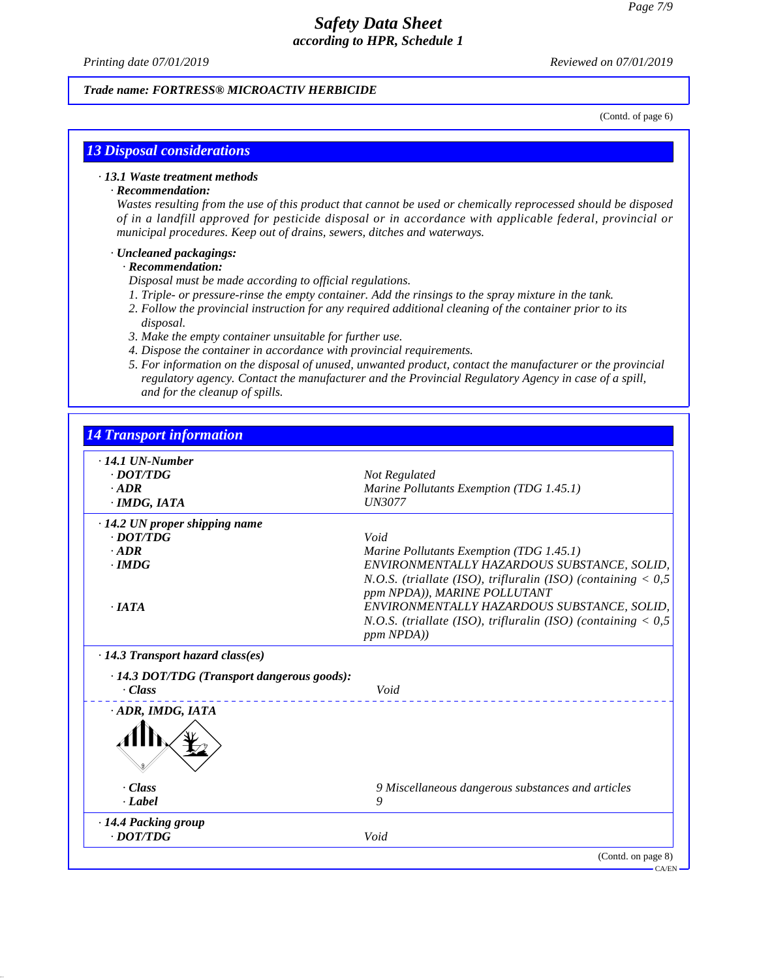*Printing date 07/01/2019 Reviewed on 07/01/2019*

### *Trade name: FORTRESS® MICROACTIV HERBICIDE*

(Contd. of page 6)

## *13 Disposal considerations*

### *· 13.1 Waste treatment methods*

### *· Recommendation:*

Wastes resulting from the use of this product that cannot be used or chemically reprocessed should be disposed *of in a landfill approved for pesticide disposal or in accordance with applicable federal, provincial or municipal procedures. Keep out of drains, sewers, ditches and waterways.*

#### *· Uncleaned packagings:*

### *· Recommendation:*

49.2.0.1

- *Disposal must be made according to of icial regulations.*
- *1. Triple- or pressure-rinse the empty container. Add the rinsings to the spray mixture in the tank.*
- *2. Follow the provincial instruction for any required additional cleaning of the container prior to its disposal.*
- *3. Make the empty container unsuitable for further use.*
- *4. Dispose the container in accordance with provincial requirements.*
- *5. For information on the disposal of unused, unwanted product, contact the manufacturer or the provincial regulatory agency. Contact the manufacturer and the Provincial Regulatory Agency in case of a spill, and for the cleanup of spills.*

| $\cdot$ 14.1 UN-Number                                       |                                                                                                                                                                                              |
|--------------------------------------------------------------|----------------------------------------------------------------------------------------------------------------------------------------------------------------------------------------------|
| $\cdot$ <i>DOT/TDG</i>                                       | Not Regulated                                                                                                                                                                                |
| $\cdot$ ADR                                                  | Marine Pollutants Exemption (TDG 1.45.1)                                                                                                                                                     |
| $\cdot$ IMDG, IATA                                           | <b>UN3077</b>                                                                                                                                                                                |
| $\cdot$ 14.2 UN proper shipping name                         |                                                                                                                                                                                              |
| $\cdot$ <i>DOT/TDG</i>                                       | Void                                                                                                                                                                                         |
| $\cdot$ ADR                                                  | Marine Pollutants Exemption (TDG 1.45.1)                                                                                                                                                     |
| $\cdot$ IMDG<br>. IATA                                       | ENVIRONMENTALLY HAZARDOUS SUBSTANCE, SOLID,<br>N.O.S. (triallate (ISO), trifluralin (ISO) (containing $< 0.5$<br>ppm NPDA)), MARINE POLLUTANT<br>ENVIRONMENTALLY HAZARDOUS SUBSTANCE, SOLID, |
|                                                              | N.O.S. (triallate (ISO), trifluralin (ISO) (containing $< 0.5$<br>ppm NPDA))                                                                                                                 |
| $\cdot$ 14.3 Transport hazard class(es)                      |                                                                                                                                                                                              |
| · 14.3 DOT/TDG (Transport dangerous goods):<br>$\cdot Class$ | Void                                                                                                                                                                                         |
| ADR, IMDG, IATA                                              |                                                                                                                                                                                              |
| $\cdot$ Class                                                | 9 Miscellaneous dangerous substances and articles                                                                                                                                            |
| $\cdot$ Label                                                | 9                                                                                                                                                                                            |
| · 14.4 Packing group                                         |                                                                                                                                                                                              |
| $\cdot$ <i>DOT/TDG</i>                                       | Void                                                                                                                                                                                         |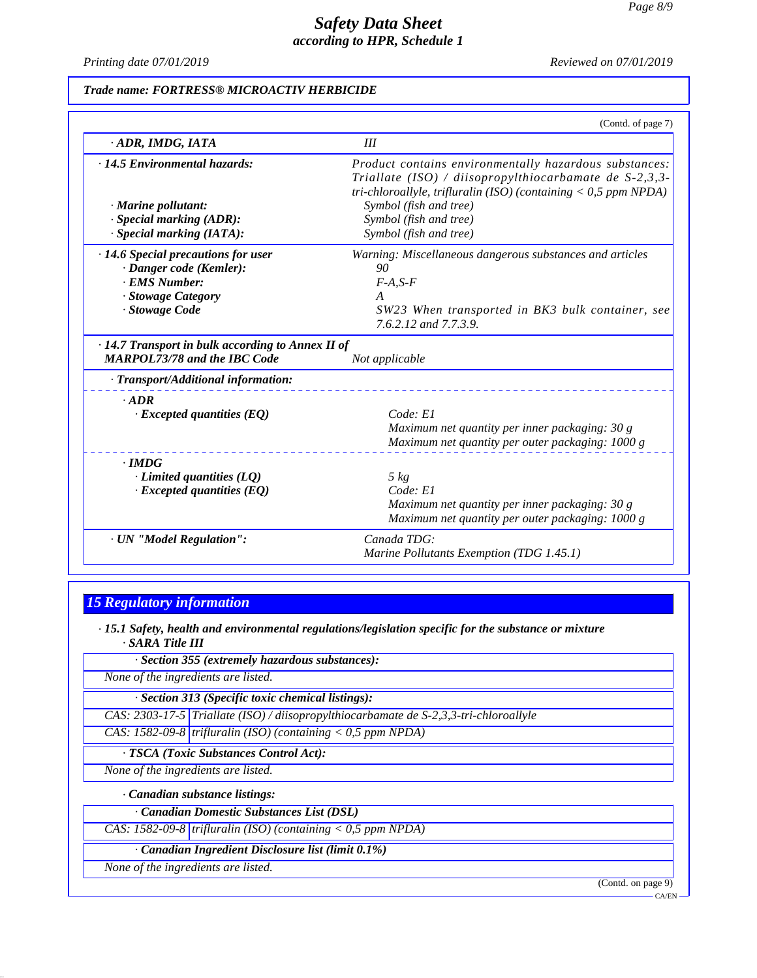*Printing date 07/01/2019 Reviewed on 07/01/2019*

### *Trade name: FORTRESS® MICROACTIV HERBICIDE*

|                                                                                                | (Contd. of page 7)                                                                                                                                                                      |
|------------------------------------------------------------------------------------------------|-----------------------------------------------------------------------------------------------------------------------------------------------------------------------------------------|
| ADR, IMDG, IATA                                                                                | III                                                                                                                                                                                     |
| · 14.5 Environmental hazards:                                                                  | Product contains environmentally hazardous substances:<br>Triallate (ISO) / diisopropylthiocarbamate de $S-2,3,3-$<br>tri-chloroallyle, trifluralin (ISO) (containing $<$ 0,5 ppm NPDA) |
| $\cdot$ Marine pollutant:                                                                      | Symbol (fish and tree)                                                                                                                                                                  |
| · Special marking (ADR):                                                                       | Symbol (fish and tree)                                                                                                                                                                  |
| · Special marking (IATA):                                                                      | Symbol (fish and tree)                                                                                                                                                                  |
| $\cdot$ 14.6 Special precautions for user                                                      | Warning: Miscellaneous dangerous substances and articles                                                                                                                                |
| · Danger code (Kemler):                                                                        | 90                                                                                                                                                                                      |
| · EMS Number:                                                                                  | $F-A, S-F$                                                                                                                                                                              |
| · Stowage Category                                                                             | A                                                                                                                                                                                       |
| · Stowage Code                                                                                 | SW23 When transported in BK3 bulk container, see<br>7.6.2.12 and 7.7.3.9.                                                                                                               |
| $\cdot$ 14.7 Transport in bulk according to Annex II of<br><b>MARPOL73/78 and the IBC Code</b> | Not applicable                                                                                                                                                                          |
| · Transport/Additional information:                                                            |                                                                                                                                                                                         |
| $\cdot$ ADR                                                                                    |                                                                                                                                                                                         |
| $\cdot$ Excepted quantities (EQ)                                                               | Code: El                                                                                                                                                                                |
|                                                                                                | Maximum net quantity per inner packaging: 30 g                                                                                                                                          |
|                                                                                                | Maximum net quantity per outer packaging: 1000 g                                                                                                                                        |
| $\cdot$ IMDG                                                                                   |                                                                                                                                                                                         |
| $\cdot$ Limited quantities (LQ)                                                                | $5 \ kg$                                                                                                                                                                                |
| $\cdot$ Excepted quantities (EQ)                                                               | Code: El                                                                                                                                                                                |
|                                                                                                | Maximum net quantity per inner packaging: 30 g                                                                                                                                          |
|                                                                                                | Maximum net quantity per outer packaging: 1000 g                                                                                                                                        |
| · UN "Model Regulation":                                                                       | Canada TDG:                                                                                                                                                                             |
|                                                                                                | Marine Pollutants Exemption (TDG 1.45.1)                                                                                                                                                |

# *15 Regulatory information*

*· 15.1 Safety, health and environmental regulations/legislation specific for the substance or mixture · SARA Title III*

*· Section 355 (extremely hazardous substances):*

*None of the ingredients are listed.*

*· Section 313 (Specific toxic chemical listings):*

*CAS: 2303-17-5 Triallate (ISO) / diisopropylthiocarbamate de S-2,3,3-tri-chloroallyle*

*CAS: 1582-09-8 trifluralin (ISO) (containing < 0,5 ppm NPDA)*

*· TSCA (Toxic Substances Control Act):*

*None of the ingredients are listed.*

*· Canadian substance listings:*

*· Canadian Domestic Substances List (DSL)*

*CAS: 1582-09-8 trifluralin (ISO) (containing < 0,5 ppm NPDA)*

*· Canadian Ingredient Disclosure list (limit 0.1%)*

*None of the ingredients are listed.*

49.2.0.1

(Contd. on page 9)